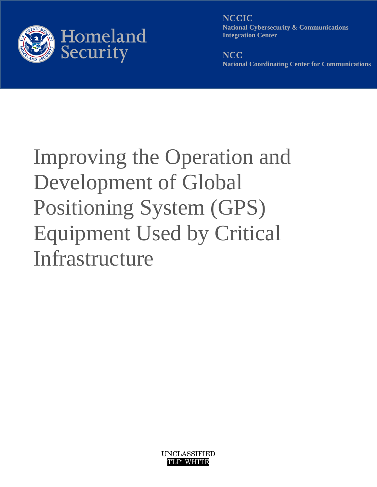<span id="page-0-0"></span>

**NCCIC National Cybersecurity & Communications Integration Center**

**NCC National Coordinating Center for Communications** 

# Improving the Operation and Development of Global Positioning System (GPS) Equipment Used by Critical Infrastructure

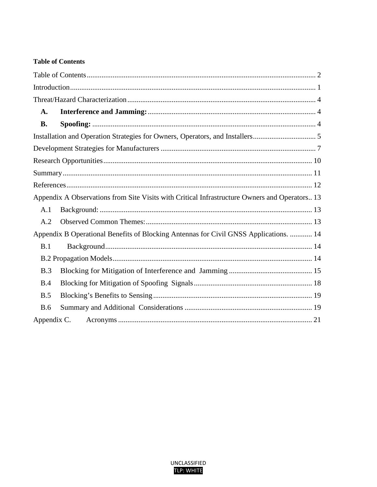# <span id="page-1-0"></span>**Table of Contents**

| A.                                                                                            |                                                                                       |  |  |
|-----------------------------------------------------------------------------------------------|---------------------------------------------------------------------------------------|--|--|
| <b>B.</b>                                                                                     |                                                                                       |  |  |
|                                                                                               |                                                                                       |  |  |
|                                                                                               |                                                                                       |  |  |
|                                                                                               |                                                                                       |  |  |
|                                                                                               |                                                                                       |  |  |
|                                                                                               |                                                                                       |  |  |
| Appendix A Observations from Site Visits with Critical Infrastructure Owners and Operators 13 |                                                                                       |  |  |
| A.1                                                                                           |                                                                                       |  |  |
| A.2                                                                                           |                                                                                       |  |  |
|                                                                                               | Appendix B Operational Benefits of Blocking Antennas for Civil GNSS Applications.  14 |  |  |
| B.1                                                                                           |                                                                                       |  |  |
|                                                                                               |                                                                                       |  |  |
| B.3                                                                                           |                                                                                       |  |  |
| B.4                                                                                           |                                                                                       |  |  |
| B.5                                                                                           |                                                                                       |  |  |
| <b>B.6</b>                                                                                    |                                                                                       |  |  |
|                                                                                               |                                                                                       |  |  |

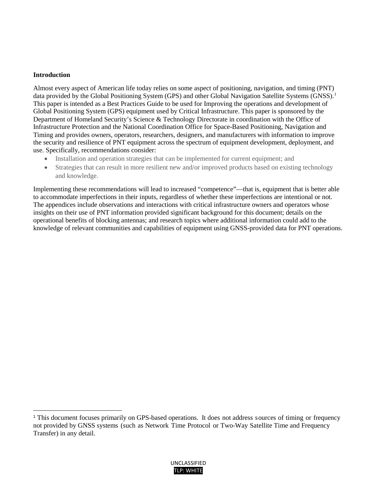#### **Introduction**

 $\overline{\phantom{a}}$ 

Almost every aspect of American life today relies on some aspect of positioning, navigation, and timing (PNT) data provided by the Global Positioning System (GPS) and other Global Navigation Satellite Systems (GNSS).<sup>[1](#page-2-0)</sup> This paper is intended as a Best Practices Guide to be used for Improving the operations and development of Global Positioning System (GPS) equipment used by Critical Infrastructure. This paper is sponsored by the Department of Homeland Security's Science & Technology Directorate in coordination with the Office of Infrastructure Protection and the National Coordination Office for Space-Based Positioning, Navigation and Timing and provides owners, operators, researchers, designers, and manufacturers with information to improve the security and resilience of PNT equipment across the spectrum of equipment development, deployment, and use. Specifically, recommendations consider:

- Installation and operation strategies that can be implemented for current equipment; and
- Strategies that can result in more resilient new and/or improved products based on existing technology and knowledge.

Implementing these recommendations will lead to increased "competence"—that is, equipment that is better able to accommodate imperfections in their inputs, regardless of whether these imperfections are intentional or not. The appendices include observations and interactions with critical infrastructure owners and operators whose insights on their use of PNT information provided significant background for this document; details on the operational benefits of blocking antennas; and research topics where additional information could add to the knowledge of relevant communities and capabilities of equipment using GNSS-provided data for PNT operations.

<span id="page-2-0"></span><sup>1</sup> This document focuses primarily on GPS-based operations. It does not address sources of timing or frequency not provided by GNSS systems (such as Network Time Protocol or Two-Way Satellite Time and Frequency Transfer) in any detail.

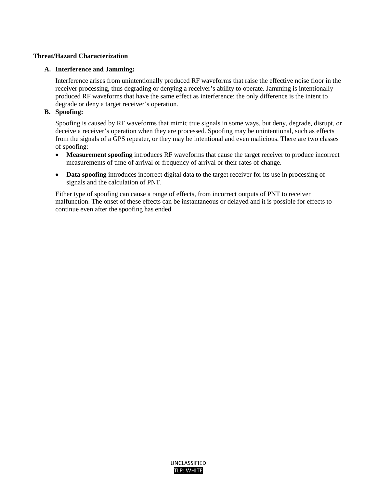## <span id="page-3-0"></span>**Threat/Hazard Characterization**

#### <span id="page-3-1"></span>**A. Interference and Jamming:**

Interference arises from unintentionally produced RF waveforms that raise the effective noise floor in the receiver processing, thus degrading or denying a receiver's ability to operate. Jamming is intentionally produced RF waveforms that have the same effect as interference; the only difference is the intent to degrade or deny a target receiver's operation.

# <span id="page-3-2"></span>**B. Spoofing:**

Spoofing is caused by RF waveforms that mimic true signals in some ways, but deny, degrade, disrupt, or deceive a receiver's operation when they are processed. Spoofing may be unintentional, such as effects from the signals of a GPS repeater, or they may be intentional and even malicious. There are two classes of spoofing:

- **Measurement spoofing** introduces RF waveforms that cause the target receiver to produce incorrect measurements of time of arrival or frequency of arrival or their rates of change.
- **Data spoofing** introduces incorrect digital data to the target receiver for its use in processing of signals and the calculation of PNT.

Either type of spoofing can cause a range of effects, from incorrect outputs of PNT to receiver malfunction. The onset of these effects can be instantaneous or delayed and it is possible for effects to continue even after the spoofing has ended.

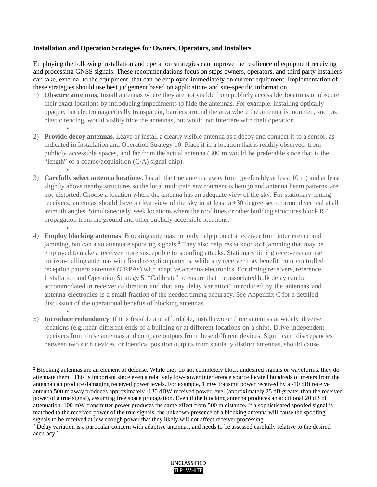#### <span id="page-4-0"></span>**Installation and Operation Strategies for Owners, Operators, and Installers**

•

l

Employing the following installation and operation strategies can improve the resilience of equipment receiving and processing GNSS signals. These recommendations focus on steps owners, operators, and third party installers can take, external to the equipment, that can be employed immediately on current equipment. Implementation of these strategies should use best judgement based on application- and site-specific information.

- 1) **Obscure antennas**. Install antennas where they are not visible from publicly accessible locations or obscure their exact locations by introducing impediments to hide the antennas. For example, installing optically opaque, but electromagnetically transparent, barriers around the area where the antenna is mounted, such as plastic fencing, would visibly hide the antennas, but would not interfere with their operation.
- 2) **Provide decoy antennas**. Leave or install a clearly visible antenna as a decoy and connect it to a sensor, as indicated in Installation and Operation Strategy 10. Place it in a location that is readily observed from publicly accessible spaces, and far from the actual antenna (300 m would be preferable since that is the "length" of a coarse/acquisition (C/A) signal chip).
- 3) **Carefully select antenna locations**. Install the true antenna away from (preferably at least 10 m) and at least slightly above nearby structures so the local multipath environment is benign and antenna beam patterns are not distorted. Choose a location where the antenna has an adequate view of the sky. For stationary timing receivers, antennas should have a clear view of the sky in at least a ±30 degree sector around vertical at all azimuth angles. Simultaneously, seek locations where the roof lines or other building structures block RF propagation from the ground and other publicly accessible locations.
- 4) **Employ blocking antennas**. Blocking antennas not only help protect a receiver from interference and jamming, but can also attenuate spoofing signals. [2](#page-4-1) They also help resist knockoff jamming that may be employed to make a receiver more susceptible to spoofing attacks. Stationary timing receivers can use horizon-nulling antennas with fixed reception patterns, while any receiver may benefit from controlled reception pattern antennas (CRPAs) with adaptive antenna electronics. For timing receivers, reference Installation and Operation Strategy 5, "Calibrate" to ensure that the associated bulk delay can be accommodated in receiver calibration and that any delay variation<sup>3</sup> introduced by the antennas and antenna electronics is a small fraction of the needed timing accuracy. See Appendix C for a detailed discussion of the operational benefits of blocking antennas.
- 5) **Introduce redundancy**. If it is feasible and affordable, install two or three antennas at widely diverse locations (e.g., near different ends of a building or at different locations on a ship). Drive independent receivers from these antennas and compare outputs from these different devices. Significant discrepancies between two such devices, or identical position outputs from spatially distinct antennas, should cause

<span id="page-4-2"></span><sup>&</sup>lt;sup>3</sup> Delay variation is a particular concern with adaptive antennas, and needs to be assessed carefully relative to the desired accuracy.)



<span id="page-4-1"></span><sup>&</sup>lt;sup>2</sup> Blocking antennas are an element of defense. While they do not completely block undesired signals or waveforms, they do attenuate them. This is important since even a relatively low-power interference source located hundreds of meters from the antenna can produce damaging received power levels. For example, 1 mW transmit power received by a -10 dBi receive antenna 500 m away produces approximately -130 dBW received power level (approximately 25 dB greater than the received power of a true signal), assuming free space propagation. Even if the blocking antenna produces an additional 20 dB of attenuation, 100 mW transmitter power produces the same effect from 500 m distance. If a sophisticated spoofed signal is matched to the received power of the true signals, the unknown presence of a blocking antenna will cause the spoofing signals to be received at low enough power that they likely will not affect receiver processing.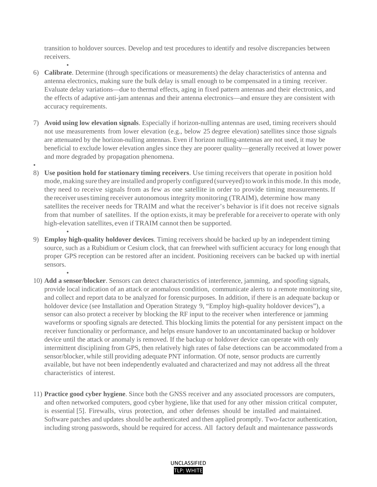transition to holdover sources. Develop and test procedures to identify and resolve discrepancies between receivers.

- 6) **Calibrate**. Determine (through specifications or measurements) the delay characteristics of antenna and antenna electronics, making sure the bulk delay is small enough to be compensated in a timing receiver. Evaluate delay variations—due to thermal effects, aging in fixed pattern antennas and their electronics, and the effects of adaptive anti-jam antennas and their antenna electronics—and ensure they are consistent with accuracy requirements.
- 7) **Avoid using low elevation signals**. Especially if horizon-nulling antennas are used, timing receivers should not use measurements from lower elevation (e.g., below 25 degree elevation) satellites since those signals are attenuated by the horizon-nulling antennas. Even if horizon nulling-antennas are not used, it may be beneficial to exclude lower elevation angles since they are poorer quality—generally received at lower power and more degraded by propagation phenomena.
- •
- 8) **Use position hold for stationary timing receivers**. Use timing receivers that operate in position hold mode, making sure they are installed and properly configured (surveyed) to work in this mode. In this mode, they need to receive signals from as few as one satellite in order to provide timing measurements.If the receiver usestiming receiver autonomous integrity monitoring (TRAIM), determine how many satellites the receiver needs for TRAIM and what the receiver's behavior is ifit does not receive signals from that number of satellites. If the option exists, it may be preferable for a receiverto operate with only high-elevation satellites, even if TRAIM cannot then be supported.
- 9) **Employ high-quality holdover devices**. Timing receivers should be backed up by an independent timing source, such as a Rubidium or Cesium clock, that can freewheel with sufficient accuracy for long enough that proper GPS reception can be restored after an incident. Positioning receivers can be backed up with inertial sensors.
- 10) **Add a sensor/blocker**. Sensors can detect characteristics of interference, jamming, and spoofing signals, provide local indication of an attack or anomalous condition, communicate alerts to a remote monitoring site, and collect and report data to be analyzed for forensic purposes. In addition, if there is an adequate backup or holdover device (see Installation and Operation Strategy 9, "Employ high-quality holdover devices"), a sensor can also protect a receiver by blocking the RF input to the receiver when interference or jamming waveforms or spoofing signals are detected. This blocking limits the potential for any persistent impact on the receiver functionality or performance, and helps ensure handover to an uncontaminated backup or holdover device until the attack or anomaly is removed. If the backup or holdover device can operate with only intermittent disciplining from GPS, then relatively high rates of false detections can be accommodated from a sensor/blocker,while still providing adequate PNT information. Of note, sensor products are currently available, but have not been independently evaluated and characterized and may not address all the threat characteristics of interest.
- 11) **Practice good cyber hygiene**. Since both the GNSS receiver and any associated processors are computers, and often networked computers, good cyber hygiene, like that used for any other mission critical computer, is essential [5]. Firewalls, virus protection, and other defenses should be installed and maintained. Software patches and updates should be authenticated and then applied promptly. Two-factor authentication, including strong passwords, should be required for access. All factory default and maintenance passwords

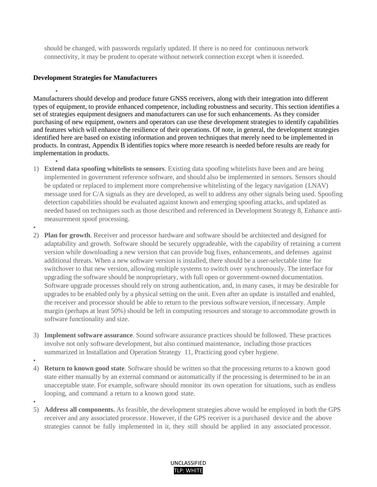should be changed, with passwords regularly updated. If there is no need for continuous network connectivity, it may be prudent to operate without network connection except when it is needed.

#### <span id="page-6-0"></span>**Development Strategies for Manufacturers**

• Manufacturers should develop and produce future GNSS receivers, along with their integration into different types of equipment, to provide enhanced competence, including robustness and security. This section identifies a set of strategies equipment designers and manufacturers can use for such enhancements. As they consider purchasing of new equipment, owners and operators can use these development strategies to identify capabilities and features which will enhance the resilience of their operations. Of note, in general, the development strategies identified here are based on existing information and proven techniques that merely need to be implemented in products. In contrast, Appendix B identifies topics where more research is needed before results are ready for implementation in products.

- 1) **Extend data spoofing whitelists to sensors**. Existing data spoofing whitelists have been and are being implemented in government reference software, and should also be implemented in sensors. Sensors should be updated or replaced to implement more comprehensive whitelisting of the legacy navigation (LNAV) message used for C/A signals as they are developed, as well to address any other signals being used. Spoofing detection capabilities should be evaluated against known and emerging spoofing attacks, and updated as needed based on techniques such as those described and referenced in Development Strategy 8, Enhance antimeasurement spoof processing.
- •
- 2) **Plan for growth**. Receiver and processor hardware and software should be architected and designed for adaptability and growth. Software should be securely upgradeable, with the capability of retaining a current version while downloading a new version that can provide bug fixes, enhancements, and defenses against additional threats. When a new software version is installed, there should be a user-selectable time for switchover to that new version, allowing multiple systems to switch over synchronously. The interface for upgrading the software should be nonproprietary, with full open or government-owned documentation. Software upgrade processes should rely on strong authentication, and, in many cases, it may be desirable for upgrades to be enabled only by a physical setting on the unit. Even after an update is installed and enabled, the receiver and processor should be able to return to the previous software version, if necessary. Ample margin (perhaps at least 50%) should be left in computing resources and storage to accommodate growth in software functionality and size.
- 3) **Implement software assurance**. Sound software assurance practices should be followed. These practices involve not only software development, but also continued maintenance, including those practices summarized in Installation and Operation Strategy 11, Practicing good cyber hygiene.
- 4) **Return to known good state**. Software should be written so that the processing returns to a known good state either manually by an external command or automatically if the processing is determined to be in an unacceptable state. For example, software should monitor its own operation for situations, such as endless looping, and command a return to a known good state.
- 5) **Address all components.** As feasible, the development strategies above would be employed in both the GPS receiver and any associated processor. However, if the GPS receiver is a purchased device and the above strategies cannot be fully implemented in it, they still should be applied in any associated processor.

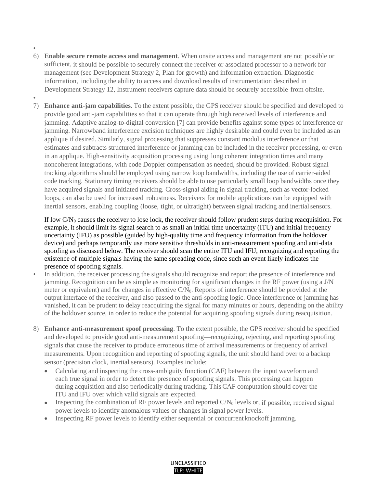- •
- 6) **Enable secure remote access and management**. When onsite access and management are not possible or sufficient, it should be possible to securely connect the receiver or associated processor to a network for management (see Development Strategy 2, Plan for growth) and information extraction. Diagnostic information, including the ability to access and download results of instrumentation described in Development Strategy 12, Instrument receivers capture data should be securely accessible from offsite.
- 7) **Enhance anti-jam capabilities**. To the extent possible, the GPS receiver should be specified and developed to provide good anti-jam capabilities so that it can operate through high received levels of interference and jamming. Adaptive analog-to-digital conversion [7] can provide benefits against some types of interference or jamming. Narrowband interference excision techniques are highly desirable and could even be included as an applique if desired. Similarly, signal processing that suppresses constant modulus interference or that estimates and subtracts structured interference or jamming can be included in the receiver processing, or even in an applique. High-sensitivity acquisition processing using long coherent integration times and many noncoherent integrations, with code Doppler compensation as needed, should be provided. Robust signal tracking algorithms should be employed using narrow loop bandwidths, including the use of carrier-aided code tracking. Stationary timing receivers should be able to use particularly small loop bandwidths once they have acquired signals and initiated tracking. Cross-signal aiding in signal tracking, such as vector-locked loops, can also be used for increased robustness. Receivers for mobile applications can be equipped with inertial sensors, enabling coupling (loose, tight, or ultratight) between signal tracking and inertial sensors.

If low  $CN<sub>0</sub>$  causes the receiver to lose lock, the receiver should follow prudent steps during reacquisition. For example, it should limit its signal search to as small an initial time uncertainty (ITU) and initial frequency uncertainty (IFU) as possible (guided by high-quality time and frequency information from the holdover device) and perhaps temporarily use more sensitive thresholds in anti-measurement spoofing and anti-data spoofing as discussed below. The receiver should scan the entire ITU and IFU, recognizing and reporting the existence of multiple signals having the same spreading code, since such an event likely indicates the presence of spoofing signals.

- In addition, the receiver processing the signals should recognize and report the presence of interference and jamming. Recognition can be as simple as monitoring for significant changes in the RF power (using a J/N meter or equivalent) and for changes in effective C/N<sub>0</sub>. Reports of interference should be provided at the output interface of the receiver, and also passed to the anti-spoofing logic. Once interference or jamming has vanished, it can be prudent to delay reacquiring the signal for many minutes or hours, depending on the ability of the holdover source, in order to reduce the potential for acquiring spoofing signals during reacquisition.
- 8) **Enhance anti-measurement spoof processing**. To the extent possible, the GPS receiver should be specified and developed to provide good anti-measurement spoofing—recognizing, rejecting, and reporting spoofing signals that cause the receiver to produce erroneous time of arrival measurements or frequency of arrival measurements. Upon recognition and reporting of spoofing signals, the unit should hand over to a backup sensor (precision clock, inertial sensors). Examples include:
	- Calculating and inspecting the cross-ambiguity function (CAF) between the input waveform and each true signal in order to detect the presence of spoofing signals. This processing can happen during acquisition and also periodically during tracking. This CAF computation should cover the ITU and IFU over which valid signals are expected.
	- Inspecting the combination of RF power levels and reported  $C/N_0$  levels or, if possible, received signal power levels to identify anomalous values or changes in signal power levels.
	- Inspecting RF power levels to identify either sequential or concurrent knockoff jamming.

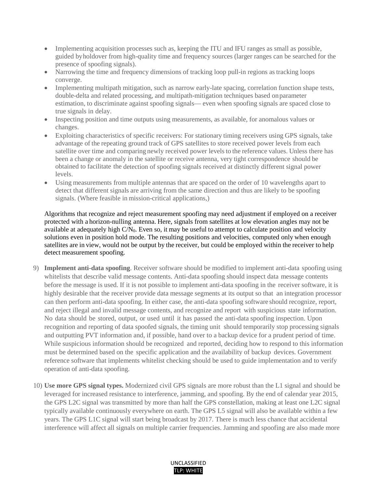- Implementing acquisition processes such as, keeping the ITU and IFU ranges as small as possible, guided by holdover from high-quality time and frequency sources (larger ranges can be searched for the presence of spoofing signals).
- Narrowing the time and frequency dimensions of tracking loop pull-in regions as tracking loops converge.
- Implementing multipath mitigation, such as narrow early-late spacing, correlation function shape tests, double-delta and related processing, and multipath-mitigation techniques based on parameter estimation, to discriminate against spoofing signals— even when spoofing signals are spaced close to true signals in delay.
- Inspecting position and time outputs using measurements, as available, for anomalous values or changes.
- Exploiting characteristics of specific receivers: For stationary timing receivers using GPS signals, take advantage of the repeating ground track of GPS satellites to store received power levels from each satellite over time and comparing newly received power levels to the reference values. Unless there has been a change or anomaly in the satellite or receive antenna, very tight correspondence should be obtained to facilitate the detection of spoofing signals received at distinctly different signal power levels.
- Using measurements from multiple antennas that are spaced on the order of 10 wavelengths apart to detect that different signals are arriving from the same direction and thus are likely to be spoofing signals. (Where feasible in mission-critical applications,)

Algorithms that recognize and reject measurement spoofing may need adjustment if employed on a receiver protected with a horizon-nulling antenna. Here, signals from satellites at low elevation angles may not be available at adequately high  $C/N_0$ . Even so, it may be useful to attempt to calculate position and velocity solutions even in position hold mode. The resulting positions and velocities, computed only when enough satellites are in view, would not be output by the receiver, but could be employed within the receiver to help detect measurement spoofing.

- 9) **Implement anti-data spoofing**. Receiver software should be modified to implement anti-data spoofing using whitelists that describe valid message contents. Anti-data spoofing should inspect data message contents before the message is used. If it is not possible to implement anti-data spoofing in the receiver software, it is highly desirable that the receiver provide data message segments at its output so that an integration processor can then perform anti-data spoofing. In either case, the anti-data spoofing software should recognize, report, and reject illegal and invalid message contents, and recognize and report with suspicious state information. No data should be stored, output, or used until it has passed the anti-data spoofing inspection. Upon recognition and reporting of data spoofed signals, the timing unit should temporarily stop processing signals and outputting PVT information and, if possible, hand over to a backup device for a prudent period of time. While suspicious information should be recognized and reported, deciding how to respond to this information must be determined based on the specific application and the availability of backup devices. Government reference software that implements whitelist checking should be used to guide implementation and to verify operation of anti-data spoofing.
- 10) **Use more GPS signal types.** Modernized civil GPS signals are more robust than the L1 signal and should be leveraged for increased resistance to interference, jamming, and spoofing. By the end of calendar year 2015, the GPS L2C signal was transmitted by more than half the GPS constellation, making at least one L2C signal typically available continuously everywhere on earth. The GPS L5 signal will also be available within a few years. The GPS L1C signal will start being broadcast by 2017. There is much less chance that accidental interference will affect all signals on multiple carrier frequencies. Jamming and spoofing are also made more

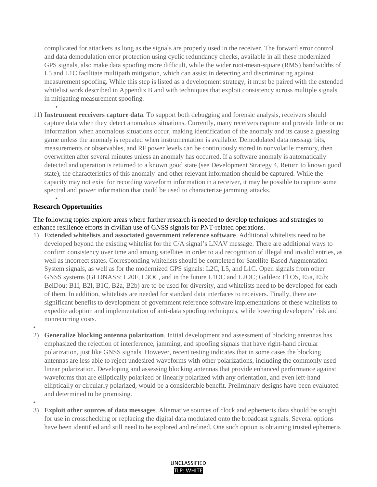complicated for attackers as long as the signals are properly used in the receiver. The forward error control and data demodulation error protection using cyclic redundancy checks, available in all these modernized GPS signals, also make data spoofing more difficult, while the wider root-mean-square (RMS) bandwidths of L5 and L1C facilitate multipath mitigation, which can assist in detecting and discriminating against measurement spoofing. While this step is listed as a development strategy, it must be paired with the extended whitelist work described in Appendix B and with techniques that exploit consistency across multiple signals in mitigating measurement spoofing.

11) **Instrument receivers capture data**. To support both debugging and forensic analysis, receivers should capture data when they detect anomalous situations. Currently, many receivers capture and provide little or no information when anomalous situations occur, making identification of the anomaly and its cause a guessing game unless the anomaly is repeated when instrumentation is available. Demodulated data message bits, measurements or observables, and RF power levels can be continuously stored in nonvolatile memory, then overwritten after several minutes unless an anomaly has occurred. If a software anomaly is automatically detected and operation is returned to a known good state (see Development Strategy 4, Return to known good state), the characteristics of this anomaly and other relevant information should be captured. While the capacity may not exist for recording waveform information in a receiver, it may be possible to capture some spectral and power information that could be used to characterize jamming attacks.

#### <span id="page-9-0"></span>• **Research Opportunities**

•

The following topics explore areas where further research is needed to develop techniques and strategies to enhance resilience efforts in civilian use of GNSS signals for PNT-related operations.

- 1) **Extended whitelists and associated government reference software**. Additional whitelists need to be developed beyond the existing whitelist for the C/A signal's LNAV message. There are additional ways to confirm consistency over time and among satellites in order to aid recognition of illegal and invalid entries, as well as incorrect states. Corresponding whitelists should be completed for Satellite-Based Augmentation System signals, as well as for the modernized GPS signals: L2C, L5, and L1C. Open signals from other GNSS systems (GLONASS: L20F, L3OC, and in the future L1OC and L2OC; Galileo: El OS, E5a, E5b; BeiDou: B1I, B2I, B1C, B2a, B2b) are to be used for diversity, and whitelists need to be developed for each of them. In addition, whitelists are needed for standard data interfaces to receivers. Finally, there are significant benefits to development of government reference software implementations of these whitelists to expedite adoption and implementation of anti-data spoofing techniques, while lowering developers' risk and nonrecurring costs.
- •
- 2) **Generalize blocking antenna polarization**. Initial development and assessment of blocking antennas has emphasized the rejection of interference, jamming, and spoofing signals that have right-hand circular polarization, just like GNSS signals. However, recent testing indicates that in some cases the blocking antennas are less able to reject undesired waveforms with other polarizations, including the commonly used linear polarization. Developing and assessing blocking antennas that provide enhanced performance against waveforms that are elliptically polarized or linearly polarized with any orientation, and even left-hand elliptically or circularly polarized, would be a considerable benefit. Preliminary designs have been evaluated and determined to be promising.
- •
- 3) **Exploit other sources of data messages**. Alternative sources of clock and ephemeris data should be sought for use in crosschecking or replacing the digital data modulated onto the broadcast signals. Several options have been identified and still need to be explored and refined. One such option is obtaining trusted ephemeris

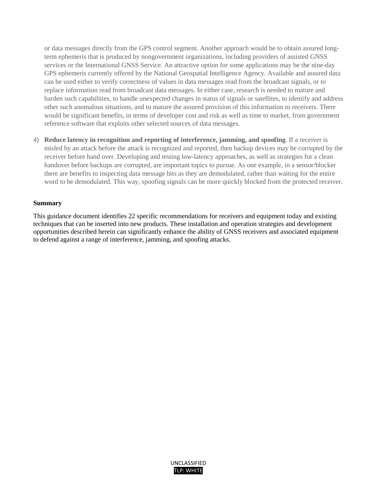or data messages directly from the GPS control segment. Another approach would be to obtain assured longterm ephemeris that is produced by nongovernment organizations, including providers of assisted GNSS services or the International GNSS Service. An attractive option for some applications may be the nine-day GPS ephemeris currently offered by the National Geospatial Intelligence Agency. Available and assured data can be used either to verify correctness of values in data messages read from the broadcast signals, or to replace information read from broadcast data messages. In either case, research is needed to mature and harden such capabilities, to handle unexpected changes in status of signals or satellites, to identify and address other such anomalous situations, and to mature the assured provision of this information to receivers. There would be significant benefits, in terms of developer cost and risk as well as time to market, from government reference software that exploits other selected sources of data messages.

4) **Reduce latency in recognition and reporting of interference, jamming, and spoofing**. If a receiver is misled by an attack before the attack is recognized and reported, then backup devices may be corrupted by the receiver before hand over. Developing and testing low-latency approaches, as well as strategies for a clean handover before backups are corrupted, are important topics to pursue. As one example, in a sensor/blocker there are benefits to inspecting data message bits as they are demodulated, rather than waiting for the entire word to be demodulated. This way, spoofing signals can be more quickly blocked from the protected receiver.

#### <span id="page-10-0"></span>**Summary**

This guidance document identifies 22 specific recommendations for receivers and equipment today and existing techniques that can be inserted into new products. These installation and operation strategies and development opportunities described herein can significantly enhance the ability of GNSS receivers and associated equipment to defend against a range of interference, jamming, and spoofing attacks.

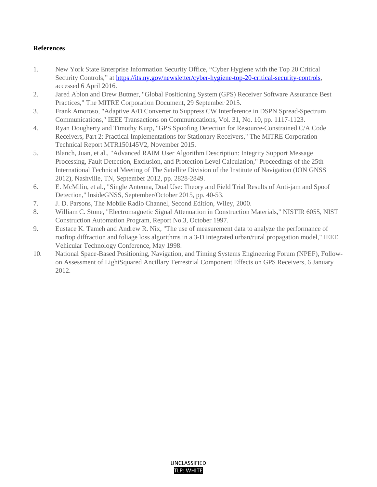# <span id="page-11-0"></span>**References**

- 1. New York State Enterprise Information Security Office, "Cyber Hygiene with the Top 20 Critical Security Controls," at [https://its.ny.gov/newsletter/cyber-hygiene-top-20-critical-security-controls,](https://its.ny.gov/newsletter/cyber-hygiene-top-20-critical-security-controls) accessed 6 April 2016.
- 2. Jared Ablon and Drew Buttner, "Global Positioning System (GPS) Receiver Software Assurance Best Practices," The MITRE Corporation Document, 29 September 2015.
- 3. Frank Amoroso, "Adaptive A/D Converter to Suppress CW Interference in DSPN Spread-Spectrum Communications," IEEE Transactions on Communications, Vol. 31, No. 10, pp. 1117-1123.
- 4. Ryan Dougherty and Timothy Kurp, "GPS Spoofing Detection for Resource-Constrained C/A Code Receivers, Part 2: Practical Implementations for Stationary Receivers," The MITRE Corporation Technical Report MTR150145V2, November 2015.
- 5. Blanch, Juan, et al., "Advanced RAIM User Algorithm Description: Integrity Support Message Processing, Fault Detection, Exclusion, and Protection Level Calculation," Proceedings of the 25th International Technical Meeting of The Satellite Division of the Institute of Navigation (ION GNSS 2012), Nashville, TN, September 2012, pp. 2828-2849.
- 6. E. McMilin, et al., "Single Antenna, Dual Use: Theory and Field Trial Results of Anti-jam and Spoof Detection," lnsideGNSS, September/October 2015, pp. 40-53.
- 7. J. D. Parsons, The Mobile Radio Channel, Second Edition, Wiley, 2000.
- 8. William C. Stone, "Electromagnetic Signal Attenuation in Construction Materials," NISTIR 6055, NIST Construction Automation Program, Report No.3, October 1997.
- 9. Eustace K. Tameh and Andrew R. Nix, "The use of measurement data to analyze the performance of rooftop diffraction and foliage loss algorithms in a 3-D integrated urban/rural propagation model," IEEE Vehicular Technology Conference, May 1998.
- 10. National Space-Based Positioning, Navigation, and Timing Systems Engineering Forum (NPEF), Followon Assessment of LightSquared Ancillary Terrestrial Component Effects on GPS Receivers, 6 January 2012.

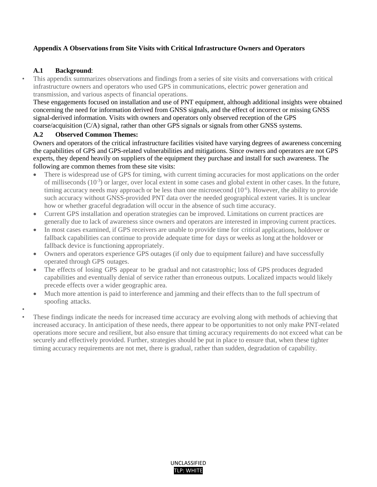# <span id="page-12-0"></span>**Appendix A Observations from Site Visits with Critical Infrastructure Owners and Operators**

## <span id="page-12-1"></span>**A.1 Background**:

• This appendix summarizes observations and findings from a series of site visits and conversations with critical infrastructure owners and operators who used GPS in communications, electric power generation and transmission, and various aspects of financial operations.

These engagements focused on installation and use of PNT equipment, although additional insights were obtained concerning the need for information derived from GNSS signals, and the effect of incorrect or missing GNSS signal-derived information. Visits with owners and operators only observed reception of the GPS coarse/acquisition (C/A) signal, rather than other GPS signals or signals from other GNSS systems.

#### <span id="page-12-2"></span>**A.2 Observed Common Themes:**

Owners and operators of the critical infrastructure facilities visited have varying degrees of awareness concerning the capabilities of GPS and GPS-related vulnerabilities and mitigations. Since owners and operators are not GPS experts, they depend heavily on suppliers of the equipment they purchase and install for such awareness. The following are common themes from these site visits:

- There is widespread use of GPS for timing, with current timing accuracies for most applications on the order of milliseconds (10-3) or larger, over local extent in some cases and global extent in other cases. In the future, timing accuracy needs may approach or be less than one microsecond  $(10^{-6})$ . However, the ability to provide such accuracy without GNSS-provided PNT data over the needed geographical extent varies. It is unclear how or whether graceful degradation will occur in the absence of such time accuracy.
- Current GPS installation and operation strategies can be improved. Limitations on current practices are generally due to lack of awareness since owners and operators are interested in improving current practices.
- In most cases examined, if GPS receivers are unable to provide time for critical applications, holdover or fallback capabilities can continue to provide adequate time for days or weeks as long at the holdover or fallback device is functioning appropriately.
- Owners and operators experience GPS outages (if only due to equipment failure) and have successfully operated through GPS outages.
- The effects of losing GPS appear to be gradual and not catastrophic; loss of GPS produces degraded capabilities and eventually denial of service rather than erroneous outputs. Localized impacts would likely precede effects over a wider geographic area.
- Much more attention is paid to interference and jamming and their effects than to the full spectrum of spoofing attacks.
- • These findings indicate the needs for increased time accuracy are evolving along with methods of achieving that increased accuracy. In anticipation of these needs, there appear to be opportunities to not only make PNT-related operations more secure and resilient, but also ensure that timing accuracy requirements do not exceed what can be securely and effectively provided. Further, strategies should be put in place to ensure that, when these tighter timing accuracy requirements are not met, there is gradual, rather than sudden, degradation of capability.

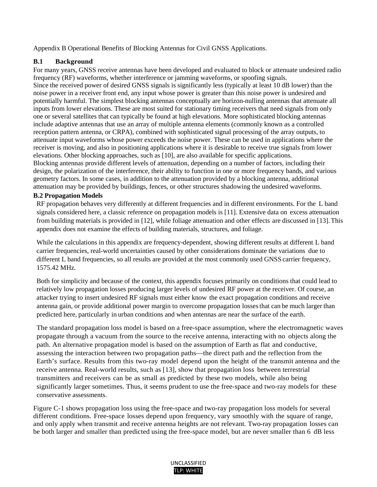<span id="page-13-0"></span>Appendix B Operational Benefits of Blocking Antennas for Civil GNSS Applications.

# <span id="page-13-1"></span>**B.1 Background**

For many years, GNSS receive antennas have been developed and evaluated to block or attenuate undesired radio frequency (RF) waveforms, whether interference or jamming waveforms, or spoofing signals.

Since the received power of desired GNSS signals is significantly less (typically at least 10 dB lower) than the noise power in a receiver front end, any input whose power is greater than this noise power is undesired and potentially harmful. The simplest blocking antennas conceptually are horizon-nulling antennas that attenuate all inputs from lower elevations. These are most suited for stationary timing receivers that need signals from only one or several satellites that can typically be found at high elevations. More sophisticated blocking antennas include adaptive antennas that use an array of multiple antenna elements (commonly known as a controlled reception pattern antenna, or CRPA), combined with sophisticated signal processing of the array outputs, to attenuate input waveforms whose power exceeds the noise power. These can be used in applications where the receiver is moving, and also in positioning applications where it is desirable to receive true signals from lower elevations. Other blocking approaches, such as [10], are also available for specific applications. Blocking antennas provide different levels of attenuation, depending on a number of factors, including their design, the polarization of the interference, their ability to function in one or more frequency bands, and various geometry factors. In some cases, in addition to the attenuation provided by a blocking antenna, additional attenuation may be provided by buildings, fences, or other structures shadowing the undesired waveforms.

## <span id="page-13-2"></span>**B.2 Propagation Models**

RF propagation behaves very differently at different frequencies and in different environments. For the L band signals considered here, a classic reference on propagation models is [11]. Extensive data on excess attenuation from building materials is provided in [12], while foliage attenuation and other effects are discussed in [13].This appendix does not examine the effects of building materials, structures, and foliage.

While the calculations in this appendix are frequency-dependent, showing different results at different L band carrier frequencies, real-world uncertainties caused by other considerations dominate the variations due to different L band frequencies, so all results are provided at the most commonly used GNSS carrier frequency, 1575.42 MHz.

Both for simplicity and because of the context, this appendix focuses primarily on conditions that could lead to relatively low propagation losses producing larger levels of undesired RF power at the receiver. Of course, an attacker trying to insert undesired RF signals must either know the exact propagation conditions and receive antenna gain, or provide additional power margin to overcome propagation lossesthat can be much larger than predicted here, particularly in urban conditions and when antennas are near the surface of the earth.

The standard propagation loss model is based on a free-space assumption, where the electromagnetic waves propagate through a vacuum from the source to the receive antenna, interacting with no objects along the path. An alternative propagation model is based on the assumption of Earth as flat and conductive, assessing the interaction between two propagation paths—the direct path and the reflection from the Earth's surface. Results from this two-ray model depend upon the height of the transmit antenna and the receive antenna. Real-world results, such as [13], show that propagation loss between terrestrial transmitters and receivers can be as small as predicted by these two models, while also being significantly larger sometimes. Thus, it seems prudent to use the free-space and two-ray models for these conservative assessments.

Figure C-1 shows propagation loss using the free-space and two-ray propagation loss models for several different conditions. Free-space losses depend upon frequency, vary smoothly with the square of range, and only apply when transmit and receive antenna heights are not relevant. Two-ray propagation losses can be both larger and smaller than predicted using the free-space model, but are never smaller than 6 dB less

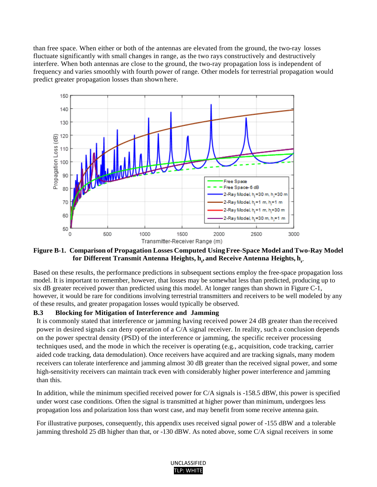than free space. When either or both of the antennas are elevated from the ground, the two-ray losses fluctuate significantly with small changes in range, as the two rays constructively and destructively interfere. When both antennas are close to the ground, the two-ray propagation loss is independent of frequency and varies smoothly with fourth power of range. Other models for terrestrial propagation would predict greater propagation losses than shown here.



<span id="page-14-1"></span>**Figure B-1. Comparison of Propagation Losses Computed UsingFree-Space Model andTwo-Ray Model for Different Transmit Antenna Heights,**  $\mathbf{h}_i$ **, and Receive Antenna Heights,**  $\mathbf{h}_{{}_{\mathrm{r}}}$ **.** 

Based on these results, the performance predictions in subsequent sections employ the free-space propagation loss model. It is important to remember, however, that losses may be somewhat less than predicted, producing up to six dB greater received power than predicted using this model. At longer ranges than shown in Figure C-1, however, it would be rare for conditions involving terrestrial transmitters and receivers to be well modeled by any of these results, and greater propagation losses would typically be observed.

#### <span id="page-14-0"></span>**B.3 Blocking for Mitigation of Interference and Jamming**

It is commonly stated that interference or jamming having received power 24 dB greater than the received power in desired signals can deny operation of a C/A signal receiver. In reality, such a conclusion depends on the power spectral density (PSD) of the interference or jamming, the specific receiver processing techniques used, and the mode in which the receiver is operating (e.g., acquisition, code tracking, carrier aided code tracking, data demodulation). Once receivers have acquired and are tracking signals, many modem receivers can tolerate interference and jamming almost 30 dB greater than the received signal power, and some high-sensitivity receivers can maintain track even with considerably higher power interference and jamming than this.

In addition, while the minimum specified received power for C/A signals is -158.5 dBW, this power is specified under worst case conditions. Often the signal is transmitted at higher power than minimum, undergoes less propagation loss and polarization loss than worst case, and may benefit from some receive antenna gain.

For illustrative purposes, consequently, this appendix uses received signal power of -155 dBW and a tolerable jamming threshold 25 dB higher than that, or -130 dBW. As noted above, some C/A signal receivers in some

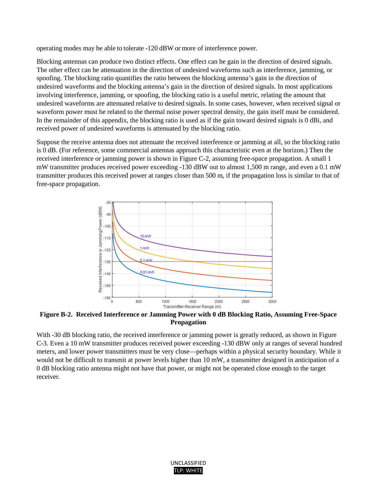operating modes may be able to tolerate -120 dBW or more of interference power.

Blocking antennas can produce two distinct effects. One effect can be gain in the direction of desired signals. The other effect can be attenuation in the direction of undesired waveforms such as interference, jamming, or spoofing. The blocking ratio quantifies the ratio between the blocking antenna's gain in the direction of undesired waveforms and the blocking antenna's gain in the direction of desired signals. In most applications involving interference, jamming, or spoofing, the blocking ratio is a useful metric, relating the amount that undesired waveforms are attenuated relative to desired signals. In some cases, however, when received signal or waveform power must be related to the thermal noise power spectral density, the gain itself must be considered. In the remainder of this appendix, the blocking ratio is used as if the gain toward desired signals is 0 dBi, and received power of undesired waveforms is attenuated by the blocking ratio.

Suppose the receive antenna does not attenuate the received interference or jamming at all, so the blocking ratio is 0 dB. (For reference, some commercial antennas approach this characteristic even at the horizon.) Then the received interference or jamming power is shown in Figure C-2, assuming free-space propagation. A small 1 mW transmitter produces received power exceeding -130 dBW out to almost 1,500 m range, and even a 0.1 mW transmitter produces this received power at ranges closer than 500 m, if the propagation loss is similar to that of free-space propagation.



<span id="page-15-0"></span>**Figure B-2. Received Interference or Jamming Power with 0 dB Blocking Ratio, Assuming Free-Space Propagation** 

With -30 dB blocking ratio, the received interference or jamming power is greatly reduced, as shown in Figure C-3. Even a 10 mW transmitter produces received power exceeding -130 dBW only at ranges of several hundred meters, and lower power transmitters must be very close—perhaps within a physical security boundary. While it would not be difficult to transmit at power levels higher than 10 mW, a transmitter designed in anticipation of a 0 dB blocking ratio antenna might not have that power, or might not be operated close enough to the target receiver.

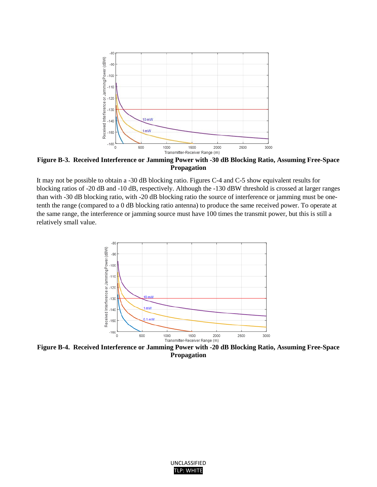

<span id="page-16-0"></span>**Figure B-3. Received Interference or Jamming Power with -30 dB Blocking Ratio, Assuming Free-Space Propagation** 

It may not be possible to obtain a -30 dB blocking ratio. Figures C-4 and C-5 show equivalent results for blocking ratios of -20 dB and -10 dB, respectively. Although the -130 dBW threshold is crossed at larger ranges than with -30 dB blocking ratio, with -20 dB blocking ratio the source of interference or jamming must be onetenth the range (compared to a 0 dB blocking ratio antenna) to produce the same received power. To operate at the same range, the interference or jamming source must have 100 times the transmit power, but this is still a relatively small value.



<span id="page-16-1"></span>**Figure B-4. Received Interference or Jamming Power with -20 dB Blocking Ratio, Assuming Free-Space Propagation** 

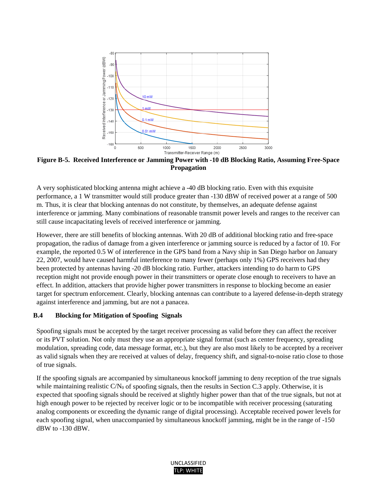

<span id="page-17-1"></span>**Figure B-5. Received Interference or Jamming Power with -10 dB Blocking Ratio, Assuming Free-Space Propagation** 

A very sophisticated blocking antenna might achieve a -40 dB blocking ratio. Even with this exquisite performance, a 1 W transmitter would still produce greater than -130 dBW of received power at a range of 500 m. Thus, it is clear that blocking antennas do not constitute, by themselves, an adequate defense against interference or jamming. Many combinations of reasonable transmit power levels and ranges to the receiver can still cause incapacitating levels of received interference or jamming.

However, there are still benefits of blocking antennas. With 20 dB of additional blocking ratio and free-space propagation, the radius of damage from a given interference or jamming source is reduced by a factor of 10. For example, the reported 0.5 W of interference in the GPS band from a Navy ship in San Diego harbor on January 22, 2007, would have caused harmful interference to many fewer (perhaps only 1%) GPS receivers had they been protected by antennas having -20 dB blocking ratio. Further, attackers intending to do harm to GPS reception might not provide enough power in their transmitters or operate close enough to receivers to have an effect. In addition, attackers that provide higher power transmitters in response to blocking become an easier target for spectrum enforcement. Clearly, blocking antennas can contribute to a layered defense-in-depth strategy against interference and jamming, but are not a panacea.

#### <span id="page-17-0"></span>**B.4 Blocking for Mitigation of Spoofing Signals**

Spoofing signals must be accepted by the target receiver processing as valid before they can affect the receiver or its PVT solution. Not only must they use an appropriate signal format (such as center frequency, spreading modulation, spreading code, data message format, etc.), but they are also most likely to be accepted by a receiver as valid signals when they are received at values of delay, frequency shift, and signal-to-noise ratio close to those of true signals.

If the spoofing signals are accompanied by simultaneous knockoff jamming to deny reception of the true signals while maintaining realistic  $C/N_0$  of spoofing signals, then the results in Section C.3 apply. Otherwise, it is expected that spoofing signals should be received at slightly higher power than that of the true signals, but not at high enough power to be rejected by receiver logic or to be incompatible with receiver processing (saturating analog components or exceeding the dynamic range of digital processing). Acceptable received power levels for each spoofing signal, when unaccompanied by simultaneous knockoff jamming, might be in the range of -150 dBW to -130 dBW.

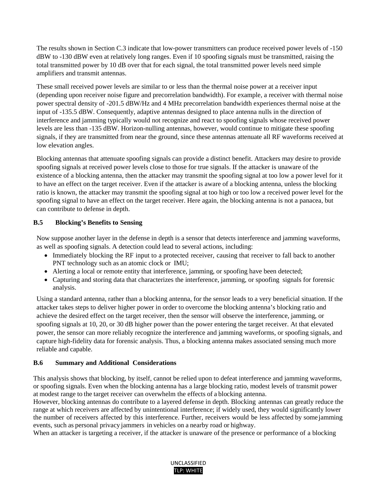The results shown in Section C.3 indicate that low-power transmitters can produce received power levels of -150 dBW to -130 dBW even at relatively long ranges. Even if 10 spoofing signals must be transmitted, raising the total transmitted power by 10 dB over that for each signal, the total transmitted power levels need simple amplifiers and transmit antennas.

These small received power levels are similar to or less than the thermal noise power at a receiver input (depending upon receiver noise figure and precorrelation bandwidth). For example, a receiver with thermal noise power spectral density of -201.5 dBW/Hz and 4 MHz precorrelation bandwidth experiences thermal noise at the input of -135.5 dBW. Consequently, adaptive antennas designed to place antenna nulls in the direction of interference and jamming typically would not recognize and react to spoofing signals whose received power levels are less than -135 dBW. Horizon-nulling antennas, however, would continue to mitigate these spoofing signals, if they are transmitted from near the ground, since these antennas attenuate all RF waveforms received at low elevation angles.

Blocking antennas that attenuate spoofing signals can provide a distinct benefit. Attackers may desire to provide spoofing signals at received power levels close to those for true signals. If the attacker is unaware of the existence of a blocking antenna, then the attacker may transmit the spoofing signal at too low a power level for it to have an effect on the target receiver. Even if the attacker is aware of a blocking antenna, unless the blocking ratio is known, the attacker may transmit the spoofing signal at too high or too low a received power level for the spoofing signal to have an effect on the target receiver. Here again, the blocking antenna is not a panacea, but can contribute to defense in depth.

# <span id="page-18-0"></span>**B.5 Blocking's Benefits to Sensing**

Now suppose another layer in the defense in depth is a sensor that detects interference and jamming waveforms, as well as spoofing signals. A detection could lead to several actions, including:

- Immediately blocking the RF input to a protected receiver, causing that receiver to fall back to another PNT technology such as an atomic clock or IMU;
- Alerting a local or remote entity that interference, jamming, or spoofing have been detected;
- Capturing and storing data that characterizes the interference, jamming, or spoofing signals for forensic analysis.

Using a standard antenna, rather than a blocking antenna, for the sensor leads to a very beneficial situation. If the attacker takes steps to deliver higher power in order to overcome the blocking antenna's blocking ratio and achieve the desired effect on the target receiver, then the sensor will observe the interference, jamming, or spoofing signals at 10, 20, or 30 dB higher power than the power entering the target receiver. At that elevated power, the sensor can more reliably recognize the interference and jamming waveforms, or spoofing signals, and capture high-fidelity data for forensic analysis. Thus, a blocking antenna makes associated sensing much more reliable and capable.

# <span id="page-18-1"></span>**B.6 Summary and Additional Considerations**

This analysis shows that blocking, by itself, cannot be relied upon to defeat interference and jamming waveforms, or spoofing signals. Even when the blocking antenna has a large blocking ratio, modest levels of transmit power at modest range to the target receiver can overwhelm the effects of a blocking antenna.

However, blocking antennas do contribute to a layered defense in depth. Blocking antennas can greatly reduce the range at which receivers are affected by unintentional interference; if widely used, they would significantly lower the number of receivers affected by this interference. Further, receivers would be less affected by somejamming events, such as personal privacy jammers in vehicles on a nearby road or highway.

When an attacker is targeting a receiver, if the attacker is unaware of the presence or performance of a blocking

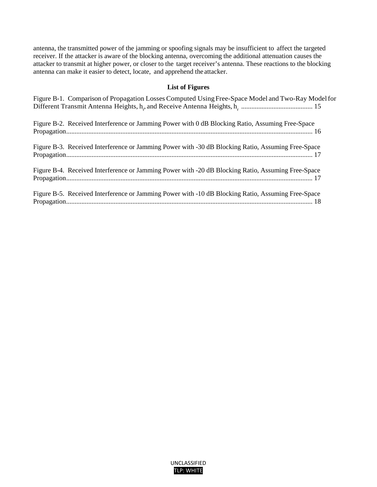antenna, the transmitted power of the jamming or spoofing signals may be insufficient to affect the targeted receiver. If the attacker is aware of the blocking antenna, overcoming the additional attenuation causes the attacker to transmit at higher power, or closer to the target receiver's antenna. These reactions to the blocking antenna can make it easier to detect, locate, and apprehend the attacker.

# **List of Figures**

| Figure B-1. Comparison of Propagation Losses Computed Using Free-Space Model and Two-Ray Model for |
|----------------------------------------------------------------------------------------------------|
| Figure B-2. Received Interference or Jamming Power with 0 dB Blocking Ratio, Assuming Free-Space   |
| Figure B-3. Received Interference or Jamming Power with -30 dB Blocking Ratio, Assuming Free-Space |
| Figure B-4. Received Interference or Jamming Power with -20 dB Blocking Ratio, Assuming Free-Space |
| Figure B-5. Received Interference or Jamming Power with -10 dB Blocking Ratio, Assuming Free-Space |